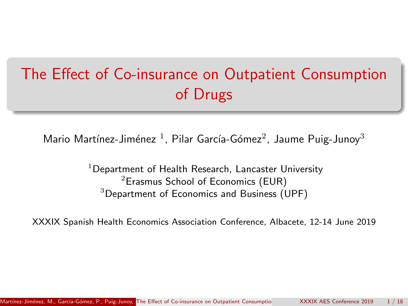# <span id="page-0-0"></span>The Effect of Co-insurance on Outpatient Consumption of Drugs

Mario Martínez-Jiménez  $^1$ , Pilar García-Gómez $^2$ , Jaume Puig-Junoy $^3$ 

 $1$ Department of Health Research, Lancaster University  $2$ Erasmus School of Economics (EUR)  $3$ Department of Economics and Business (UPF)

XXXIX Spanish Health Economics Association Conference, Albacete, 12-14 June 2019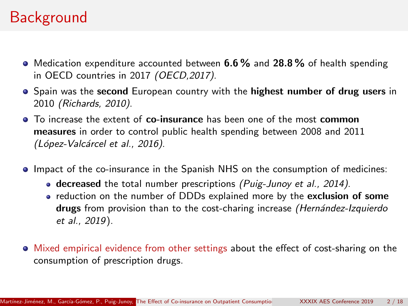## **Background**

- $\bullet$  Medication expenditure accounted between 6.6% and 28.8% of health spending in OECD countries in 2017 (OECD,2017).
- **•** Spain was the second European country with the highest number of drug users in 2010 (Richards, 2010).
- To increase the extent of co-insurance has been one of the most common measures in order to control public health spending between 2008 and 2011 (López-Valcárcel et al., 2016).
- Impact of the co-insurance in the Spanish NHS on the consumption of medicines:
	- $\bullet$  decreased the total number prescriptions (Puig-Junoy et al., 2014).
	- reduction on the number of DDDs explained more by the exclusion of some drugs from provision than to the cost-charing increase (Hernández-Izquierdo et al., 2019).
- $\bullet$  Mixed empirical evidence from other settings about the effect of cost-sharing on the consumption of prescription drugs.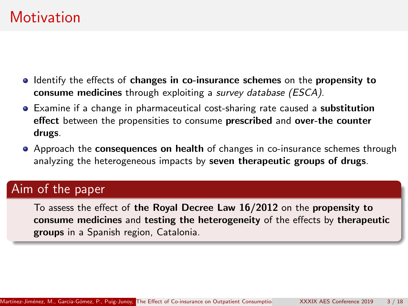## **Motivation**

- In Identify the effects of changes in co-insurance schemes on the propensity to consume medicines through exploiting a survey database (ESCA).
- **Examine if a change in pharmaceutical cost-sharing rate caused a substitution** effect between the propensities to consume prescribed and over-the counter drugs.
- Approach the **consequences on health** of changes in co-insurance schemes through analyzing the heterogeneous impacts by seven therapeutic groups of drugs.

#### Aim of the paper

To assess the effect of the Royal Decree Law 16/2012 on the propensity to consume medicines and testing the heterogeneity of the effects by therapeutic groups in a Spanish region, Catalonia.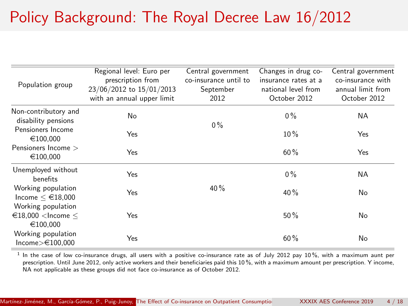# Policy Background: The Royal Decree Law 16/2012

|                                                                      | Regional level: Euro per   | Central government    | Changes in drug co-  | Central government |
|----------------------------------------------------------------------|----------------------------|-----------------------|----------------------|--------------------|
| Population group                                                     | prescription from          | co-insurance until to | insurance rates at a | co-insurance with  |
|                                                                      | 23/06/2012 to 15/01/2013   | September             | national level from  | annual limit from  |
|                                                                      | with an annual upper limit | 2012                  | October 2012         | October 2012       |
| Non-contributory and<br>disability pensions                          | No                         | $0\%$                 | $0\%$                | <b>NA</b>          |
| Pensioners Income<br>€100.000                                        | Yes                        |                       | $10\%$               | Yes                |
| Pensioners Income ><br>€100.000                                      | Yes                        |                       | 60%                  | Yes                |
| Unemployed without<br>benefits                                       | Yes                        |                       | $0\%$                | <b>NA</b>          |
| Working population<br>Income $\leq \text{\textsterling}18,000$       | Yes                        | 40%                   | 40%                  | No                 |
| Working population<br>$\in$ 18,000 <lncome <<br="">€100.000</lncome> | Yes                        |                       | 50%                  | No                 |
| Working population<br>Income $>\in$ 100,000                          | Yes                        |                       | 60%                  | No                 |

<sup>1</sup> In the case of low co-insurance drugs, all users with a positive co-insurance rate as of July 2012 pay 10 %, with a maximum aunt per prescription. Until June 2012, only active workers and their beneficiaries paid this 10 %, with a maximum amount per prescription. Y income, NA not applicable as these groups did not face co-insurance as of October 2012.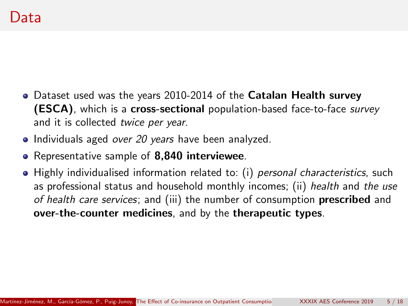- Dataset used was the years 2010-2014 of the Catalan Health survey (ESCA), which is a cross-sectional population-based face-to-face survey and it is collected twice per year.
- Individuals aged over 20 years have been analyzed.
- Representative sample of 8,840 interviewee.
- Highly individualised information related to: (i) personal characteristics, such as professional status and household monthly incomes; (ii) health and the use of health care services; and (iii) the number of consumption prescribed and over-the-counter medicines, and by the therapeutic types.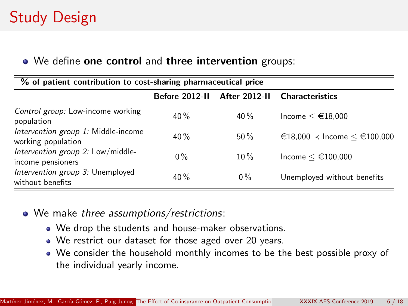# Study Design

#### • We define one control and three intervention groups:

| % of patient contribution to cost-sharing pharmaceutical price |                |                      |                                           |  |  |  |  |
|----------------------------------------------------------------|----------------|----------------------|-------------------------------------------|--|--|--|--|
|                                                                | Before 2012-II | <b>After 2012-II</b> | <b>Characteristics</b>                    |  |  |  |  |
| Control group: Low-income working<br>population                | 40%            | $40\%$               | Income $\leq \epsilon$ 18,000             |  |  |  |  |
| Intervention group 1: Middle-income<br>working population      | 40%            | 50%                  | $€18,000$ $\prec$ Income $< €100,000$     |  |  |  |  |
| Intervention group 2: Low/middle-<br>income pensioners         | $0\%$          | $10\%$               | Income $\leq \text{\textsterling}100,000$ |  |  |  |  |
| Intervention group 3: Unemployed<br>without benefits           | 40%            | $0\%$                | Unemployed without benefits               |  |  |  |  |

- We make three assumptions/restrictions:
	- We drop the students and house-maker observations.
	- We restrict our dataset for those aged over 20 years.
	- We consider the household monthly incomes to be the best possible proxy of the individual yearly income.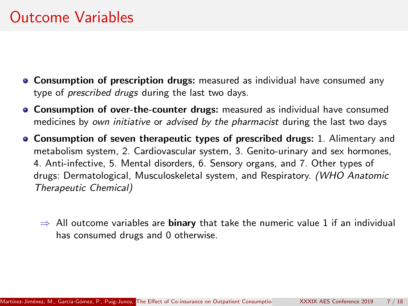## Outcome Variables

- **Consumption of prescription drugs:** measured as individual have consumed any type of prescribed drugs during the last two days.
- Consumption of over-the-counter drugs: measured as individual have consumed medicines by own initiative or advised by the pharmacist during the last two days
- Consumption of seven therapeutic types of prescribed drugs: 1. Alimentary and metabolism system, 2. Cardiovascular system, 3. Genito-urinary and sex hormones, 4. Anti-infective, 5. Mental disorders, 6. Sensory organs, and 7. Other types of drugs: Dermatological, Musculoskeletal system, and Respiratory. (WHO Anatomic Therapeutic Chemical)
	- $\Rightarrow$  All outcome variables are **binary** that take the numeric value 1 if an individual has consumed drugs and 0 otherwise.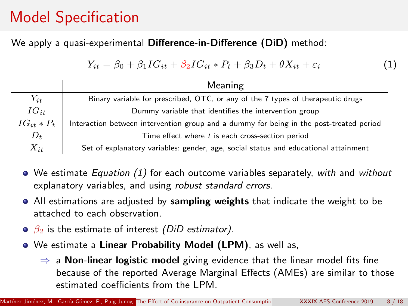# Model Specification

#### We apply a quasi-experimental Difference-in-Difference (DiD) method:

$$
Y_{it} = \beta_0 + \beta_1 I G_{it} + \beta_2 I G_{it} * P_t + \beta_3 D_t + \theta X_{it} + \varepsilon_i \tag{1}
$$

|               | Meaning                                                                                 |
|---------------|-----------------------------------------------------------------------------------------|
| $Y_{it}$      | Binary variable for prescribed, OTC, or any of the 7 types of therapeutic drugs         |
| $IG_{it}$     | Dummy variable that identifies the intervention group                                   |
| $IG_{it}*P_t$ | Interaction between intervention group and a dummy for being in the post-treated period |
| $D_t$         | Time effect where $t$ is each cross-section period                                      |
| $X_{it}$      | Set of explanatory variables: gender, age, social status and educational attainment     |

- $\bullet$  We estimate *Equation* (1) for each outcome variables separately, with and without explanatory variables, and using robust standard errors.
- All estimations are adjusted by sampling weights that indicate the weight to be attached to each observation.
- $\theta$   $\beta_2$  is the estimate of interest (DiD estimator).
- We estimate a Linear Probability Model (LPM), as well as,
	- $\Rightarrow$  a Non-linear logistic model giving evidence that the linear model fits fine because of the reported Average Marginal Effects (AMEs) are similar to those estimated coefficients from the LPM.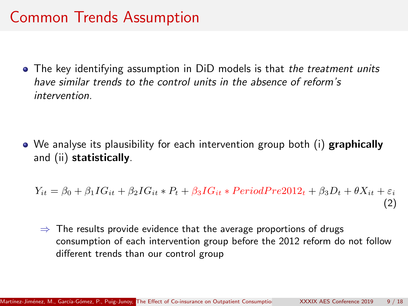## Common Trends Assumption

• The key identifying assumption in DiD models is that the treatment units have similar trends to the control units in the absence of reform's intervention.

• We analyse its plausibility for each intervention group both (i) graphically and (ii) statistically.

 $Y_{it} = \beta_0 + \beta_1 IG_{it} + \beta_2 IG_{it} * P_t + \beta_3 IG_{it} * PeriodPre2012_t + \beta_3 D_t + \theta X_{it} + \varepsilon_i$ (2)

 $\Rightarrow$  The results provide evidence that the average proportions of drugs consumption of each intervention group before the 2012 reform do not follow different trends than our control group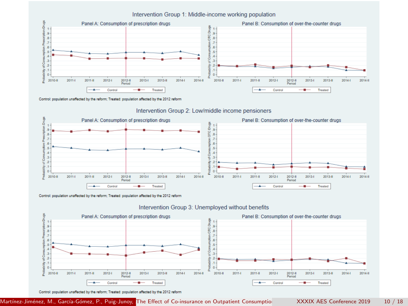

#### Intervention Group 1: Middle-income working population

Control: population unaffected by the reform: Treated: population affected by the 2012 reform



#### Intervention Group 2: Low/middle income pensioners

Control: population unaffected by the reform; Treated: population affected by the 2012 reform





Control: population unaffected by the reform; Treated: population affected by the 2012 reform

Martínez-Jiménez, M., García-Gómez, P., Puig-Junoy, The Effect of Co-insurance on Outpatient Consumption Mattinez-Jiménez, M., García-Gómez, P. 18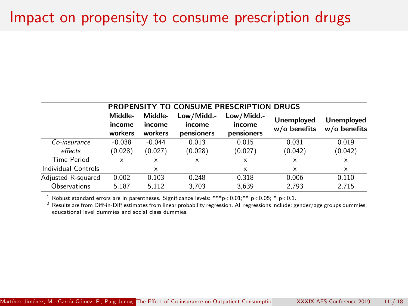#### Impact on propensity to consume prescription drugs

| PROPENSITY TO CONSUME PRESCRIPTION DRUGS |                              |                              |                                    |                                    |                                     |                                     |  |
|------------------------------------------|------------------------------|------------------------------|------------------------------------|------------------------------------|-------------------------------------|-------------------------------------|--|
|                                          | Middle-<br>income<br>workers | Middle-<br>income<br>workers | Low/Midd.-<br>income<br>pensioners | Low/Midd.-<br>income<br>pensioners | <b>Unemployed</b><br>$w/o$ benefits | <b>Unemployed</b><br>$w/o$ benefits |  |
| Co-insurance                             | $-0.038$                     | $-0.044$                     | 0.013                              | 0.015                              | 0.031                               | 0.019                               |  |
| effects                                  | (0.028)                      | (0.027)                      | (0.028)                            | (0.027)                            | (0.042)                             | (0.042)                             |  |
| Time Period                              | X                            | x                            | $\times$                           | $\times$                           | X                                   | X                                   |  |
| Individual Controls                      |                              | X                            |                                    | $\times$                           | X                                   | X                                   |  |
| Adjusted R-squared                       | 0.002                        | 0.103                        | 0.248                              | 0.318                              | 0.006                               | 0.110                               |  |
| Observations                             | 5.187                        | 5.112                        | 3.703                              | 3,639                              | 2.793                               | 2.715                               |  |

<sup>1</sup> Robust standard errors are in parentheses. Significance levels: \*\*\*p<0.01;\*\* p<0.05; \* p<0.1.

<sup>2</sup> Results are from Diff-in-Diff estimates from linear probability regression. All regressions include: gender/age groups dummies, educational level dummies and social class dummies.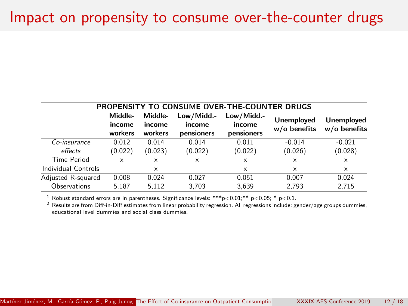## Impact on propensity to consume over-the-counter drugs

| <b>PROPENSITY TO CONSUME OVER-THE-COUNTER DRUGS</b> |                              |                              |                                    |                                    |                                     |                                     |  |
|-----------------------------------------------------|------------------------------|------------------------------|------------------------------------|------------------------------------|-------------------------------------|-------------------------------------|--|
|                                                     | Middle-<br>income<br>workers | Middle-<br>income<br>workers | Low/Midd.-<br>income<br>pensioners | Low/Midd.-<br>income<br>pensioners | <b>Unemployed</b><br>$w/o$ benefits | <b>Unemployed</b><br>$w/o$ benefits |  |
| Co-insurance                                        | 0.012                        | 0.014                        | 0.014                              | 0.011                              | $-0.014$                            | $-0.021$                            |  |
| effects                                             | (0.022)                      | (0.023)                      | (0.022)                            | (0.022)                            | (0.026)                             | (0.028)                             |  |
| Time Period                                         | X                            | x                            | X                                  | $\times$                           | $\times$                            | $\times$                            |  |
| Individual Controls                                 |                              | x                            |                                    | $\times$                           | $\times$                            | X                                   |  |
| Adjusted R-squared                                  | 0.008                        | 0.024                        | 0.027                              | 0.051                              | 0.007                               | 0.024                               |  |
| Observations                                        | 5.187                        | 5.112                        | 3.703                              | 3,639                              | 2,793                               | 2.715                               |  |

<sup>1</sup> Robust standard errors are in parentheses. Significance levels: \*\*\*p<0.01;\*\* p<0.05; \* p<0.1.

<sup>2</sup> Results are from Diff-in-Diff estimates from linear probability regression. All regressions include: gender/age groups dummies, educational level dummies and social class dummies.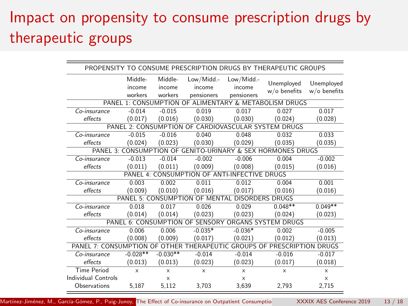# Impact on propensity to consume prescription drugs by therapeutic groups

| PROPENSITY TO CONSUME PRESCRIPTION DRUGS BY THERAPEUTIC GROUPS                                              |                              |                              |                                    |                                    |                                                             |                              |
|-------------------------------------------------------------------------------------------------------------|------------------------------|------------------------------|------------------------------------|------------------------------------|-------------------------------------------------------------|------------------------------|
|                                                                                                             | Middle-<br>income<br>workers | Middle-<br>income<br>workers | Low/Midd.-<br>income<br>pensioners | Low/Midd.-<br>income<br>pensioners | Unemployed<br>$w/o$ benefits                                | Unemployed<br>$w/o$ benefits |
|                                                                                                             |                              |                              |                                    |                                    | PANEL 1: CONSUMPTION OF ALIMENTARY & METABOLISM DRUGS       |                              |
| Co-insurance                                                                                                | $-0.014$                     | $-0.015$                     | 0.019                              | 0.017                              | 0.027                                                       | 0.017                        |
| effects                                                                                                     | (0.017)                      | (0.016)                      | (0.030)                            | (0.030)                            | (0.024)                                                     | (0.028)                      |
| PANEL                                                                                                       |                              |                              |                                    |                                    | 2: CONSUMPTION OF CARDIOVASCULAR SYSTEM DRUGS               |                              |
| Co-insurance                                                                                                | $-0.015$                     | $-0.016$                     | 0.040                              | 0.048                              | 0.032                                                       | 0.033                        |
| effects                                                                                                     | (0.024)                      | (0.023)                      | (0.030)                            | (0.029)                            | (0.035)                                                     | (0.035)                      |
|                                                                                                             |                              |                              |                                    |                                    | PANEL 3: CONSUMPTION OF GENITO-URINARY & SEX HORMONES DRUGS |                              |
| Co-insurance                                                                                                | $-0.013$                     | $-0.014$                     | $-0.002$                           | $-0.006$                           | 0.004                                                       | $-0.002$                     |
| effects                                                                                                     | (0.011)                      | (0.011)                      | (0.009)                            | (0.008)                            | (0.015)                                                     | (0.016)                      |
|                                                                                                             |                              |                              | PANEL 4: CONSUMPTION OF ANT        | <b>INFECTIVE DRUGS</b>             |                                                             |                              |
| Co-insurance                                                                                                | 0.003                        | 0.002                        | 0.011                              | 0.012                              | 0.004                                                       | 0.001                        |
| effects                                                                                                     | (0.009)                      | (0.010)                      | (0.016)                            | (0.017)                            | (0.016)                                                     | (0.016)                      |
|                                                                                                             | PANEL 5: CONSUMPTION         |                              | OF MENTAL                          |                                    | <b>DISORDERS DRUGS</b>                                      |                              |
| Co-insurance                                                                                                | 0.018                        | 0.017                        | 0.026                              | 0.029                              | $0.048**$                                                   | $0.049**$                    |
| effects                                                                                                     | (0.014)                      | (0.014)                      | (0.023)                            | (0.023)                            | (0.024)                                                     | (0.023)                      |
|                                                                                                             | PANEL 6: CONSUMPTION         |                              |                                    |                                    | OF SENSORY ORGANS SYSTEM DRUGS                              |                              |
| Co-insurance                                                                                                | 0.006                        | 0.006                        | $-0.035*$                          | $-0.036*$                          | 0.002                                                       | $-0.005$                     |
| effects                                                                                                     | (0.008)                      | (0.009)                      | (0.017)                            | (0.021)                            | (0.012)                                                     | (0.013)                      |
| <b>THERAPEUTIC</b><br><b>GROUPS OF PRESCRIPTION</b><br><b>DRUGS</b><br>PANEL 7: CONSUMPTION<br><b>OTHER</b> |                              |                              |                                    |                                    |                                                             |                              |
| Co-insurance                                                                                                | $-0.028**$                   | $-0.030**$                   | $-0.014$                           | $-0.014$                           | $-0.016$                                                    | $-0.017$                     |
| effects                                                                                                     | (0.013)                      | (0.013)                      | (0.023)                            | (0.023)                            | (0.017)                                                     | (0.018)                      |
| <b>Time Period</b>                                                                                          | $\times$                     | X                            | $\times$                           | $\times$                           | $\times$                                                    | $\times$                     |
| Individual Controls                                                                                         |                              | $\times$                     |                                    | $\times$                           |                                                             | $\times$                     |
| Observations                                                                                                | 5,187                        | 5,112                        | 3,703                              | 3,639                              | 2,793                                                       | 2,715                        |

Martínez-Jiménez, M., García-Gómez, P., Puig-Junoy, The Effect of Co-insurance on Outpatient Consumption XXXIX AES Conference 2019 13 / 18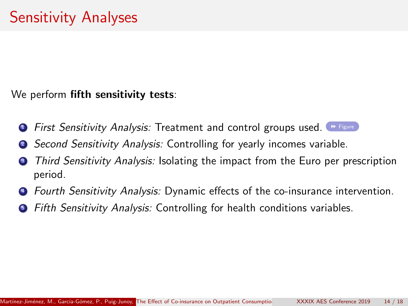<span id="page-13-0"></span>We perform fifth sensitivity tests:

- **1 First Sensitivity Analysis: Treatment and control groups used.** [Figure](#page-17-1)
- **2** Second Sensitivity Analysis: Controlling for yearly incomes variable.
- Third Sensitivity Analysis: Isolating the impact from the Euro per prescription period.
- **4 Fourth Sensitivity Analysis: Dynamic effects of the co-insurance intervention.**
- **•** Fifth Sensitivity Analysis: Controlling for health conditions variables.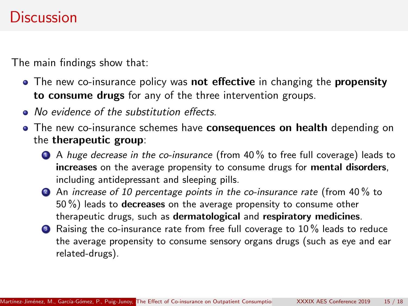### **Discussion**

The main findings show that:

- The new co-insurance policy was **not effective** in changing the **propensity** to consume drugs for any of the three intervention groups.
- No evidence of the substitution effects.
- The new co-insurance schemes have consequences on health depending on the therapeutic group:
	- **4** A huge decrease in the co-insurance (from 40% to free full coverage) leads to increases on the average propensity to consume drugs for mental disorders, including antidepressant and sleeping pills.
	- 2 An increase of 10 percentage points in the co-insurance rate (from 40% to 50 %) leads to decreases on the average propensity to consume other therapeutic drugs, such as dermatological and respiratory medicines.
	- **3** Raising the co-insurance rate from free full coverage to 10% leads to reduce the average propensity to consume sensory organs drugs (such as eye and ear related-drugs).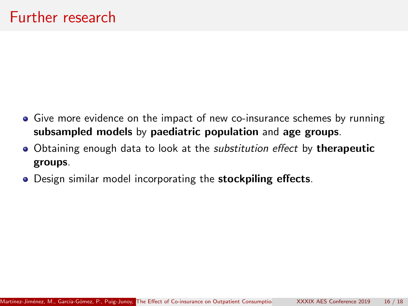- Give more evidence on the impact of new co-insurance schemes by running subsampled models by paediatric population and age groups.
- Obtaining enough data to look at the *substitution effect* by **therapeutic** groups.
- . Design similar model incorporating the stockpiling effects.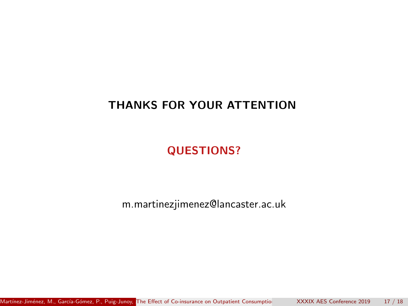#### THANKS FOR YOUR ATTENTION

QUESTIONS?

m.martinezjimenez@lancaster.ac.uk